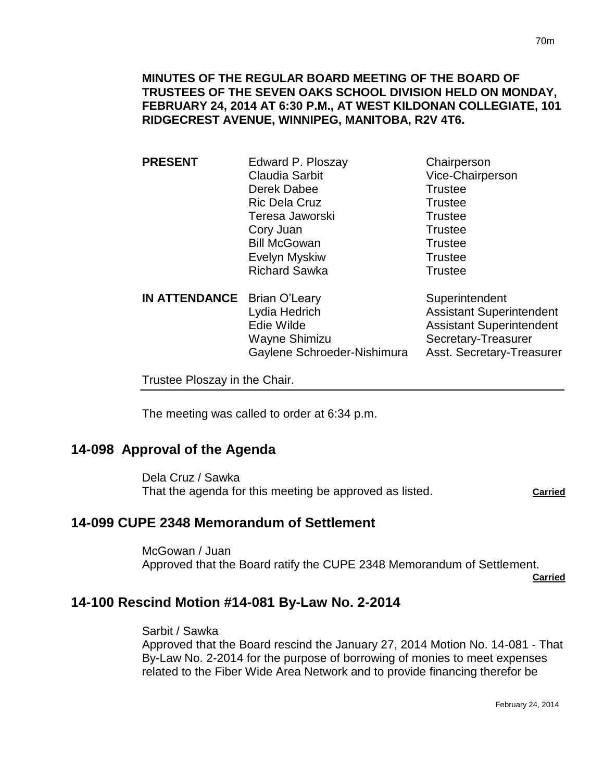### **MINUTES OF THE REGULAR BOARD MEETING OF THE BOARD OF TRUSTEES OF THE SEVEN OAKS SCHOOL DIVISION HELD ON MONDAY, FEBRUARY 24, 2014 AT 6:30 P.M., AT WEST KILDONAN COLLEGIATE, 101 RIDGECREST AVENUE, WINNIPEG, MANITOBA, R2V 4T6.**

**PRESENT** Edward P. Ploszay Chairperson Claudia Sarbit Vice-Chairperson Derek Dabee Trustee Ric Dela Cruz **Trustee** Teresa Jaworski **Trustee** Cory Juan Trustee Bill McGowan Trustee Evelyn Myskiw **Trustee** Richard Sawka Trustee **IN ATTENDANCE** Brian O'Leary Superintendent

Lydia Hedrich **Assistant Superintendent** Edie Wilde **Assistant Superintendent** Wayne Shimizu Secretary-Treasurer Gaylene Schroeder-Nishimura Asst. Secretary-Treasurer

Trustee Ploszay in the Chair.

The meeting was called to order at 6:34 p.m.

## **14-098 Approval of the Agenda**

Dela Cruz / Sawka That the agenda for this meeting be approved as listed. **Carried**

# **14-099 CUPE 2348 Memorandum of Settlement**

McGowan / Juan Approved that the Board ratify the CUPE 2348 Memorandum of Settlement.

**Carried**

### **14-100 Rescind Motion #14-081 By-Law No. 2-2014**

Sarbit / Sawka

Approved that the Board rescind the January 27, 2014 Motion No. 14-081 - That By-Law No. 2-2014 for the purpose of borrowing of monies to meet expenses related to the Fiber Wide Area Network and to provide financing therefor be